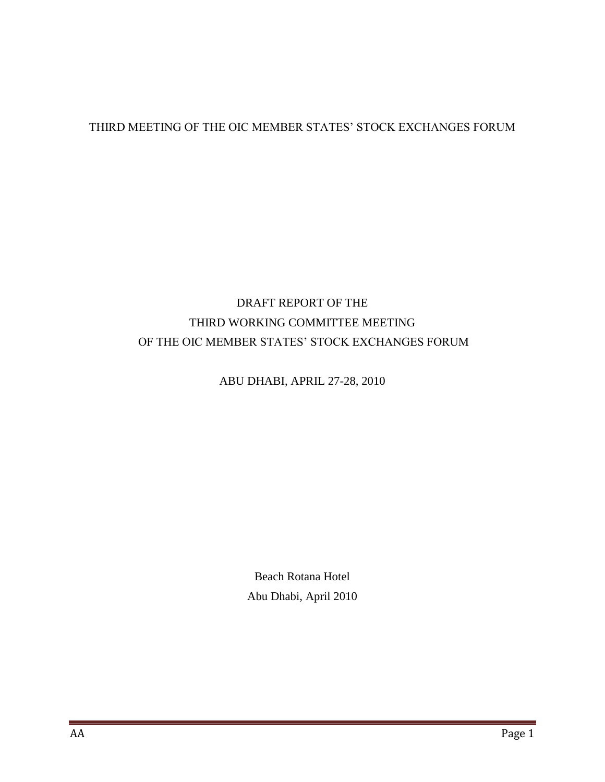# THIRD MEETING OF THE OIC MEMBER STATES' STOCK EXCHANGES FORUM

# DRAFT REPORT OF THE THIRD WORKING COMMITTEE MEETING OF THE OIC MEMBER STATES' STOCK EXCHANGES FORUM

## ABU DHABI, APRIL 27-28, 2010

Beach Rotana Hotel Abu Dhabi, April 2010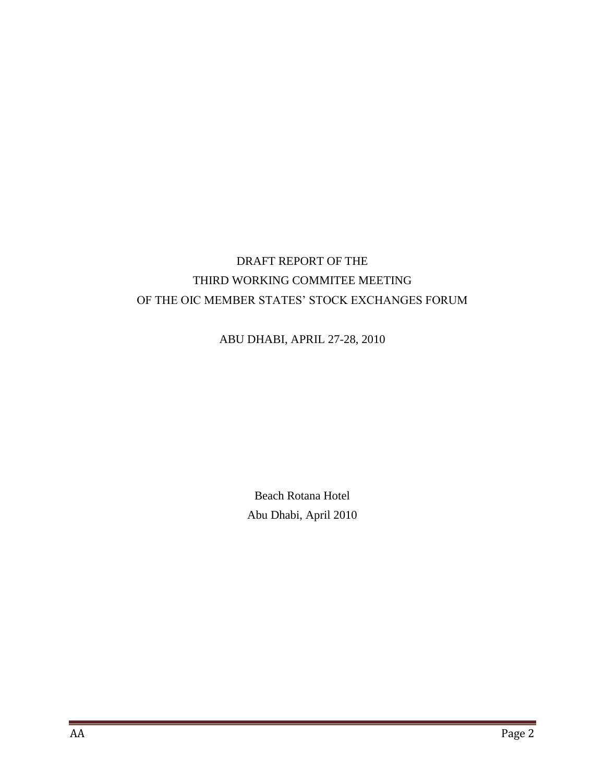# DRAFT REPORT OF THE THIRD WORKING COMMITEE MEETING OF THE OIC MEMBER STATES' STOCK EXCHANGES FORUM

ABU DHABI, APRIL 27-28, 2010

Beach Rotana Hotel Abu Dhabi, April 2010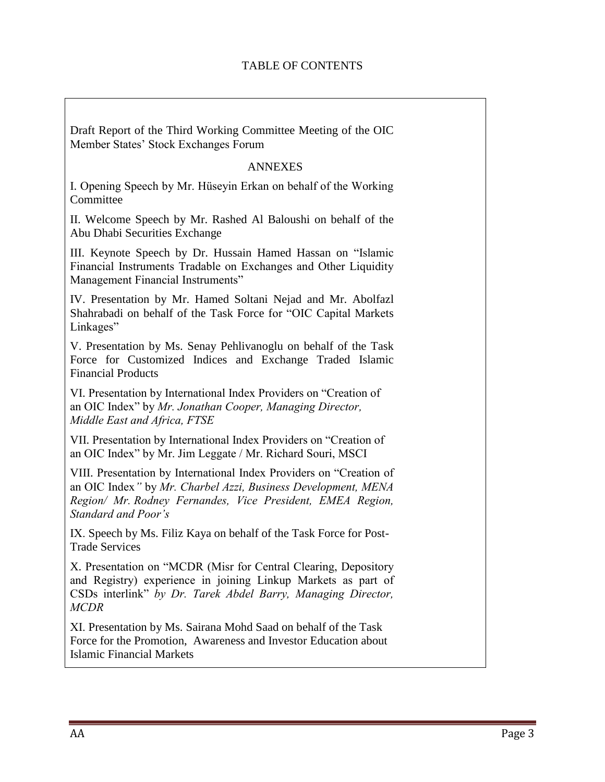Draft Report of the Third Working Committee Meeting of the OIC Member States' Stock Exchanges Forum

### ANNEXES

I. Opening Speech by Mr. Hüseyin Erkan on behalf of the Working Committee

II. Welcome Speech by Mr. Rashed Al Baloushi on behalf of the Abu Dhabi Securities Exchange

III. Keynote Speech by Dr. Hussain Hamed Hassan on "Islamic Financial Instruments Tradable on Exchanges and Other Liquidity Management Financial Instruments"

IV. Presentation by Mr. Hamed Soltani Nejad and Mr. Abolfazl Shahrabadi on behalf of the Task Force for "OIC Capital Markets Linkages"

V. Presentation by Ms. Senay Pehlivanoglu on behalf of the Task Force for Customized Indices and Exchange Traded Islamic Financial Products

VI. Presentation by International Index Providers on "Creation of an OIC Index" by *Mr. Jonathan Cooper, Managing Director, Middle East and Africa, FTSE*

VII. Presentation by International Index Providers on "Creation of an OIC Index" by Mr. Jim Leggate / Mr. Richard Souri, MSCI

VIII. Presentation by International Index Providers on "Creation of an OIC Index*"* by *Mr. Charbel Azzi, Business Development, MENA Region/ Mr. Rodney Fernandes, Vice President, EMEA Region, Standard and Poor's*

IX. Speech by Ms. Filiz Kaya on behalf of the Task Force for Post-Trade Services

X. Presentation on "MCDR (Misr for Central Clearing, Depository and Registry) experience in joining Linkup Markets as part of CSDs interlink" *by Dr. Tarek Abdel Barry, Managing Director, MCDR*

XI. Presentation by Ms. Sairana Mohd Saad on behalf of the Task Force for the Promotion, Awareness and Investor Education about Islamic Financial Markets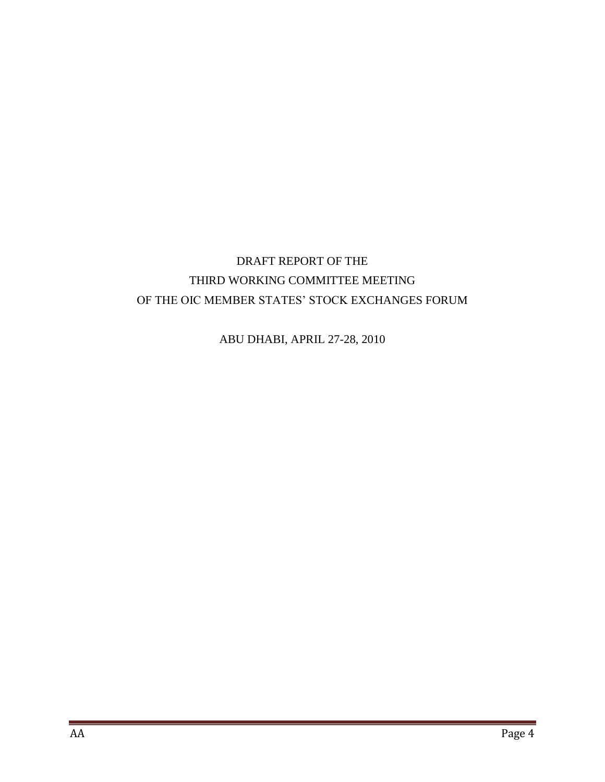# DRAFT REPORT OF THE THIRD WORKING COMMITTEE MEETING OF THE OIC MEMBER STATES' STOCK EXCHANGES FORUM

ABU DHABI, APRIL 27-28, 2010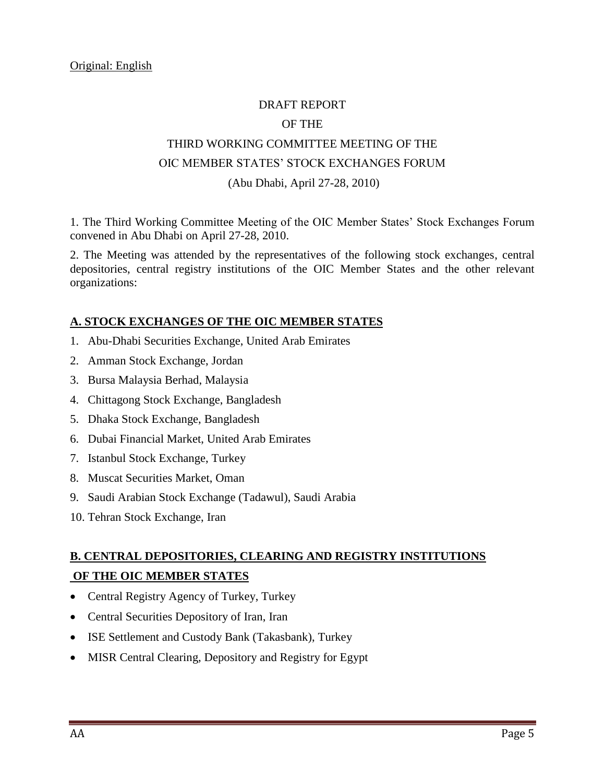### DRAFT REPORT

#### OF THE

# THIRD WORKING COMMITTEE MEETING OF THE OIC MEMBER STATES' STOCK EXCHANGES FORUM (Abu Dhabi, April 27-28, 2010)

1. The Third Working Committee Meeting of the OIC Member States' Stock Exchanges Forum convened in Abu Dhabi on April 27-28, 2010.

2. The Meeting was attended by the representatives of the following stock exchanges, central depositories, central registry institutions of the OIC Member States and the other relevant organizations:

### **A. STOCK EXCHANGES OF THE OIC MEMBER STATES**

- 1. Abu-Dhabi Securities Exchange, United Arab Emirates
- 2. Amman Stock Exchange, Jordan
- 3. Bursa Malaysia Berhad, Malaysia
- 4. Chittagong Stock Exchange, Bangladesh
- 5. Dhaka Stock Exchange, Bangladesh
- 6. Dubai Financial Market, United Arab Emirates
- 7. Istanbul Stock Exchange, Turkey
- 8. Muscat Securities Market, Oman
- 9. Saudi Arabian Stock Exchange (Tadawul), Saudi Arabia
- 10. Tehran Stock Exchange, Iran

# **B. CENTRAL DEPOSITORIES, CLEARING AND REGISTRY INSTITUTIONS OF THE OIC MEMBER STATES**

- Central Registry Agency of Turkey, Turkey
- Central Securities Depository of Iran, Iran
- ISE Settlement and Custody Bank (Takasbank), Turkey
- MISR Central Clearing, Depository and Registry for Egypt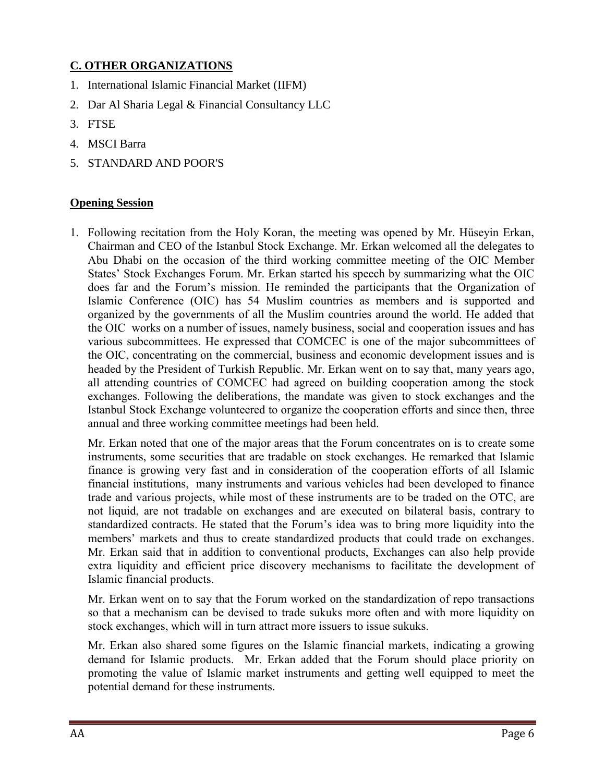## **C. OTHER ORGANIZATIONS**

- 1. International Islamic Financial Market (IIFM)
- 2. Dar Al Sharia Legal & Financial Consultancy LLC
- 3. FTSE
- 4. MSCI Barra
- 5. STANDARD AND POOR'S

### **Opening Session**

1. Following recitation from the Holy Koran, the meeting was opened by Mr. Hüseyin Erkan, Chairman and CEO of the Istanbul Stock Exchange. Mr. Erkan welcomed all the delegates to Abu Dhabi on the occasion of the third working committee meeting of the OIC Member States' Stock Exchanges Forum. Mr. Erkan started his speech by summarizing what the OIC does far and the Forum's mission. He reminded the participants that the Organization of Islamic Conference (OIC) has 54 Muslim countries as members and is supported and organized by the governments of all the Muslim countries around the world. He added that the OIC works on a number of issues, namely business, social and cooperation issues and has various subcommittees. He expressed that COMCEC is one of the major subcommittees of the OIC, concentrating on the commercial, business and economic development issues and is headed by the President of Turkish Republic. Mr. Erkan went on to say that, many years ago, all attending countries of COMCEC had agreed on building cooperation among the stock exchanges. Following the deliberations, the mandate was given to stock exchanges and the Istanbul Stock Exchange volunteered to organize the cooperation efforts and since then, three annual and three working committee meetings had been held.

Mr. Erkan noted that one of the major areas that the Forum concentrates on is to create some instruments, some securities that are tradable on stock exchanges. He remarked that Islamic finance is growing very fast and in consideration of the cooperation efforts of all Islamic financial institutions, many instruments and various vehicles had been developed to finance trade and various projects, while most of these instruments are to be traded on the OTC, are not liquid, are not tradable on exchanges and are executed on bilateral basis, contrary to standardized contracts. He stated that the Forum's idea was to bring more liquidity into the members' markets and thus to create standardized products that could trade on exchanges. Mr. Erkan said that in addition to conventional products, Exchanges can also help provide extra liquidity and efficient price discovery mechanisms to facilitate the development of Islamic financial products.

Mr. Erkan went on to say that the Forum worked on the standardization of repo transactions so that a mechanism can be devised to trade sukuks more often and with more liquidity on stock exchanges, which will in turn attract more issuers to issue sukuks.

Mr. Erkan also shared some figures on the Islamic financial markets, indicating a growing demand for Islamic products. Mr. Erkan added that the Forum should place priority on promoting the value of Islamic market instruments and getting well equipped to meet the potential demand for these instruments.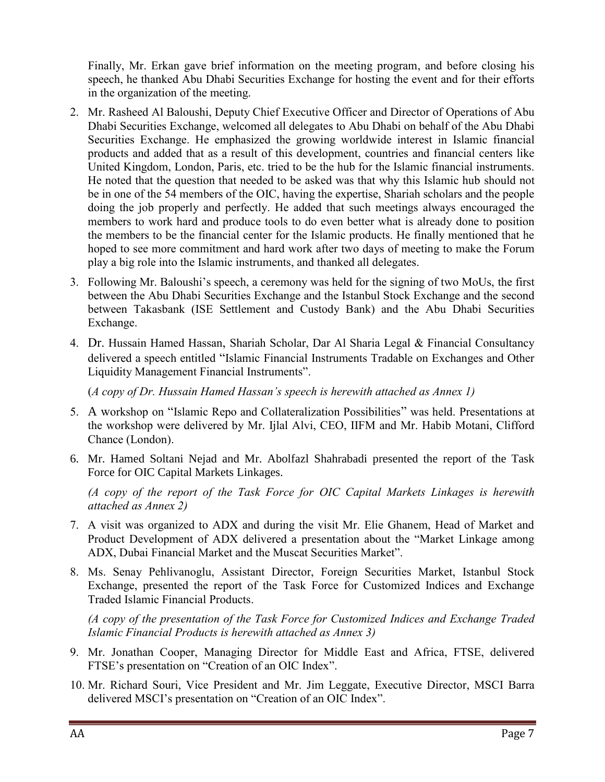Finally, Mr. Erkan gave brief information on the meeting program, and before closing his speech, he thanked Abu Dhabi Securities Exchange for hosting the event and for their efforts in the organization of the meeting.

- 2. Mr. Rasheed Al Baloushi, Deputy Chief Executive Officer and Director of Operations of Abu Dhabi Securities Exchange, welcomed all delegates to Abu Dhabi on behalf of the Abu Dhabi Securities Exchange. He emphasized the growing worldwide interest in Islamic financial products and added that as a result of this development, countries and financial centers like United Kingdom, London, Paris, etc. tried to be the hub for the Islamic financial instruments. He noted that the question that needed to be asked was that why this Islamic hub should not be in one of the 54 members of the OIC, having the expertise, Shariah scholars and the people doing the job properly and perfectly. He added that such meetings always encouraged the members to work hard and produce tools to do even better what is already done to position the members to be the financial center for the Islamic products. He finally mentioned that he hoped to see more commitment and hard work after two days of meeting to make the Forum play a big role into the Islamic instruments, and thanked all delegates.
- 3. Following Mr. Baloushi's speech, a ceremony was held for the signing of two MoUs, the first between the Abu Dhabi Securities Exchange and the Istanbul Stock Exchange and the second between Takasbank (ISE Settlement and Custody Bank) and the Abu Dhabi Securities Exchange.
- 4. Dr. Hussain Hamed Hassan, Shariah Scholar, Dar Al Sharia Legal & Financial Consultancy delivered a speech entitled "Islamic Financial Instruments Tradable on Exchanges and Other Liquidity Management Financial Instruments".

(*A copy of Dr. Hussain Hamed Hassan's speech is herewith attached as Annex 1)*

- 5. A workshop on "Islamic Repo and Collateralization Possibilities" was held. Presentations at the workshop were delivered by Mr. Ijlal Alvi, CEO, IIFM and Mr. Habib Motani, Clifford Chance (London).
- 6. Mr. Hamed Soltani Nejad and Mr. Abolfazl Shahrabadi presented the report of the Task Force for OIC Capital Markets Linkages.

*(A copy of the report of the Task Force for OIC Capital Markets Linkages is herewith attached as Annex 2)*

- 7. A visit was organized to ADX and during the visit Mr. Elie Ghanem, Head of Market and Product Development of ADX delivered a presentation about the "Market Linkage among ADX, Dubai Financial Market and the Muscat Securities Market".
- 8. Ms. Senay Pehlivanoglu, Assistant Director, Foreign Securities Market, Istanbul Stock Exchange, presented the report of the Task Force for Customized Indices and Exchange Traded Islamic Financial Products.

*(A copy of the presentation of the Task Force for Customized Indices and Exchange Traded Islamic Financial Products is herewith attached as Annex 3)*

- 9. Mr. Jonathan Cooper, Managing Director for Middle East and Africa, FTSE, delivered FTSE's presentation on "Creation of an OIC Index".
- 10. Mr. Richard Souri, Vice President and Mr. Jim Leggate, Executive Director, MSCI Barra delivered MSCI's presentation on "Creation of an OIC Index".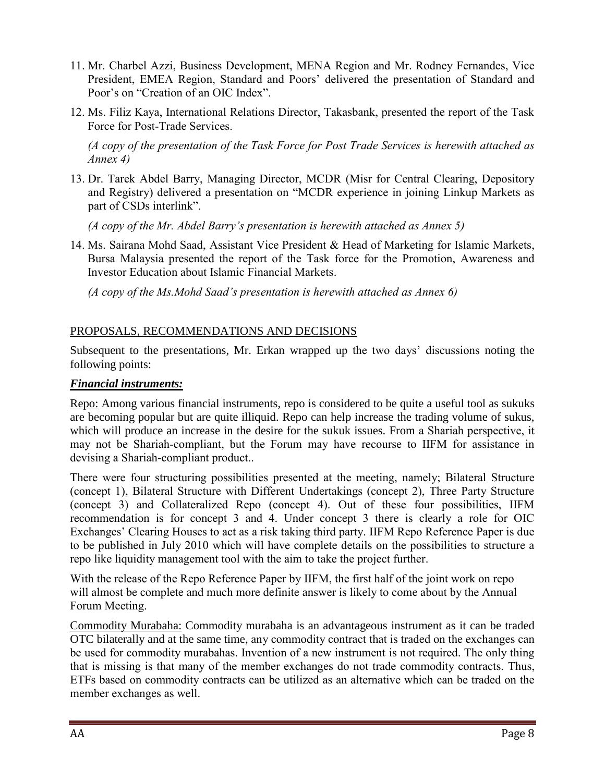- 11. Mr. Charbel Azzi, Business Development, MENA Region and Mr. Rodney Fernandes, Vice President, EMEA Region, Standard and Poors' delivered the presentation of Standard and Poor's on "Creation of an OIC Index".
- 12. Ms. Filiz Kaya, International Relations Director, Takasbank, presented the report of the Task Force for Post-Trade Services.

*(A copy of the presentation of the Task Force for Post Trade Services is herewith attached as Annex 4)*

13. Dr. Tarek Abdel Barry, Managing Director, MCDR (Misr for Central Clearing, Depository and Registry) delivered a presentation on "MCDR experience in joining Linkup Markets as part of CSDs interlink".

*(A copy of the Mr. Abdel Barry's presentation is herewith attached as Annex 5)*

14. Ms. Sairana Mohd Saad, Assistant Vice President & Head of Marketing for Islamic Markets, Bursa Malaysia presented the report of the Task force for the Promotion, Awareness and Investor Education about Islamic Financial Markets.

*(A copy of the Ms.Mohd Saad's presentation is herewith attached as Annex 6)*

### PROPOSALS, RECOMMENDATIONS AND DECISIONS

Subsequent to the presentations, Mr. Erkan wrapped up the two days' discussions noting the following points:

### *Financial instruments:*

Repo: Among various financial instruments, repo is considered to be quite a useful tool as sukuks are becoming popular but are quite illiquid. Repo can help increase the trading volume of sukus, which will produce an increase in the desire for the sukuk issues. From a Shariah perspective, it may not be Shariah-compliant, but the Forum may have recourse to IIFM for assistance in devising a Shariah-compliant product..

There were four structuring possibilities presented at the meeting, namely; Bilateral Structure (concept 1), Bilateral Structure with Different Undertakings (concept 2), Three Party Structure (concept 3) and Collateralized Repo (concept 4). Out of these four possibilities, IIFM recommendation is for concept 3 and 4. Under concept 3 there is clearly a role for OIC Exchanges' Clearing Houses to act as a risk taking third party. IIFM Repo Reference Paper is due to be published in July 2010 which will have complete details on the possibilities to structure a repo like liquidity management tool with the aim to take the project further.

With the release of the Repo Reference Paper by IIFM, the first half of the joint work on repo will almost be complete and much more definite answer is likely to come about by the Annual Forum Meeting.

Commodity Murabaha: Commodity murabaha is an advantageous instrument as it can be traded OTC bilaterally and at the same time, any commodity contract that is traded on the exchanges can be used for commodity murabahas. Invention of a new instrument is not required. The only thing that is missing is that many of the member exchanges do not trade commodity contracts. Thus, ETFs based on commodity contracts can be utilized as an alternative which can be traded on the member exchanges as well.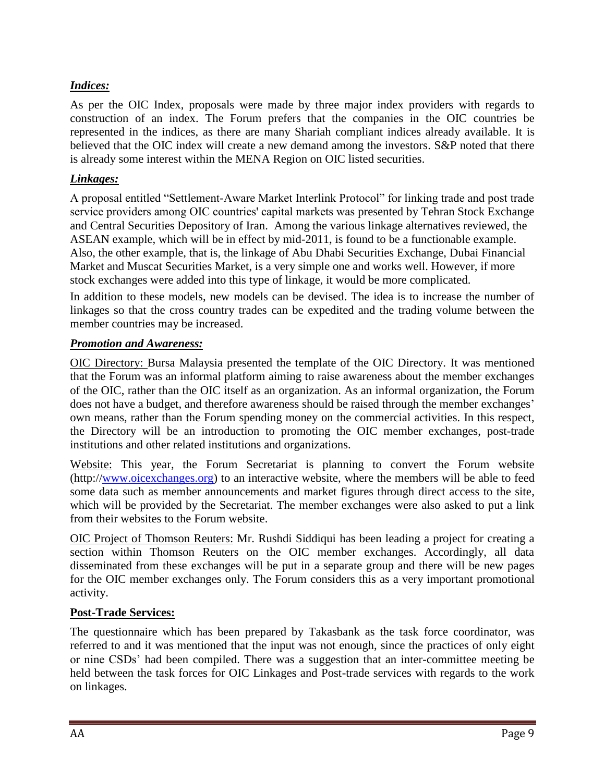## *Indices:*

As per the OIC Index, proposals were made by three major index providers with regards to construction of an index. The Forum prefers that the companies in the OIC countries be represented in the indices, as there are many Shariah compliant indices already available. It is believed that the OIC index will create a new demand among the investors. S&P noted that there is already some interest within the MENA Region on OIC listed securities.

## *Linkages:*

A proposal entitled "Settlement-Aware Market Interlink Protocol" for linking trade and post trade service providers among OIC countries' capital markets was presented by Tehran Stock Exchange and Central Securities Depository of Iran. Among the various linkage alternatives reviewed, the ASEAN example, which will be in effect by mid-2011, is found to be a functionable example. Also, the other example, that is, the linkage of Abu Dhabi Securities Exchange, Dubai Financial Market and Muscat Securities Market, is a very simple one and works well. However, if more stock exchanges were added into this type of linkage, it would be more complicated.

In addition to these models, new models can be devised. The idea is to increase the number of linkages so that the cross country trades can be expedited and the trading volume between the member countries may be increased.

## *Promotion and Awareness:*

OIC Directory: Bursa Malaysia presented the template of the OIC Directory. It was mentioned that the Forum was an informal platform aiming to raise awareness about the member exchanges of the OIC, rather than the OIC itself as an organization. As an informal organization, the Forum does not have a budget, and therefore awareness should be raised through the member exchanges' own means, rather than the Forum spending money on the commercial activities. In this respect, the Directory will be an introduction to promoting the OIC member exchanges, post-trade institutions and other related institutions and organizations.

Website: This year, the Forum Secretariat is planning to convert the Forum website (http:/[/www.oicexchanges.org\)](http://www.oicexchanges.org/) to an interactive website, where the members will be able to feed some data such as member announcements and market figures through direct access to the site, which will be provided by the Secretariat. The member exchanges were also asked to put a link from their websites to the Forum website.

OIC Project of Thomson Reuters: Mr. Rushdi Siddiqui has been leading a project for creating a section within Thomson Reuters on the OIC member exchanges. Accordingly, all data disseminated from these exchanges will be put in a separate group and there will be new pages for the OIC member exchanges only. The Forum considers this as a very important promotional activity.

# **Post-Trade Services:**

The questionnaire which has been prepared by Takasbank as the task force coordinator, was referred to and it was mentioned that the input was not enough, since the practices of only eight or nine CSDs' had been compiled. There was a suggestion that an inter-committee meeting be held between the task forces for OIC Linkages and Post-trade services with regards to the work on linkages.